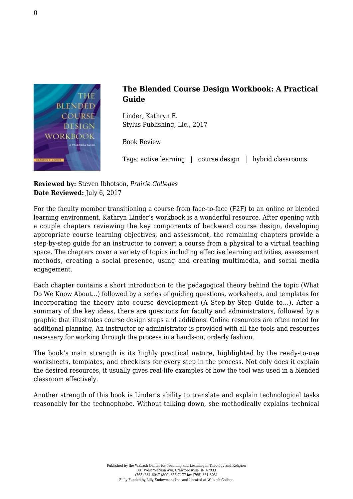

## **The Blended Course Design Workbook: A Practical Guide**

Linder, Kathryn E. [Stylus Publishing, Llc., 2017](https://sty.presswarehouse.com/books/BookDetail.aspx?productID=468479)

Book Review

Tags: active learning | course design | hybrid classrooms

**Reviewed by:** Steven Ibbotson, *Prairie Colleges* **Date Reviewed:** July 6, 2017

For the faculty member transitioning a course from face-to-face (F2F) to an online or blended learning environment, Kathryn Linder's workbook is a wonderful resource. After opening with a couple chapters reviewing the key components of backward course design, developing appropriate course learning objectives, and assessment, the remaining chapters provide a step-by-step guide for an instructor to convert a course from a physical to a virtual teaching space. The chapters cover a variety of topics including effective learning activities, assessment methods, creating a social presence, using and creating multimedia, and social media engagement.

Each chapter contains a short introduction to the pedagogical theory behind the topic (What Do We Know About…) followed by a series of guiding questions, worksheets, and templates for incorporating the theory into course development (A Step-by-Step Guide to…). After a summary of the key ideas, there are questions for faculty and administrators, followed by a graphic that illustrates course design steps and additions. Online resources are often noted for additional planning. An instructor or administrator is provided with all the tools and resources necessary for working through the process in a hands-on, orderly fashion.

The book's main strength is its highly practical nature, highlighted by the ready-to-use worksheets, templates, and checklists for every step in the process. Not only does it explain the desired resources, it usually gives real-life examples of how the tool was used in a blended classroom effectively.

Another strength of this book is Linder's ability to translate and explain technological tasks reasonably for the technophobe. Without talking down, she methodically explains technical